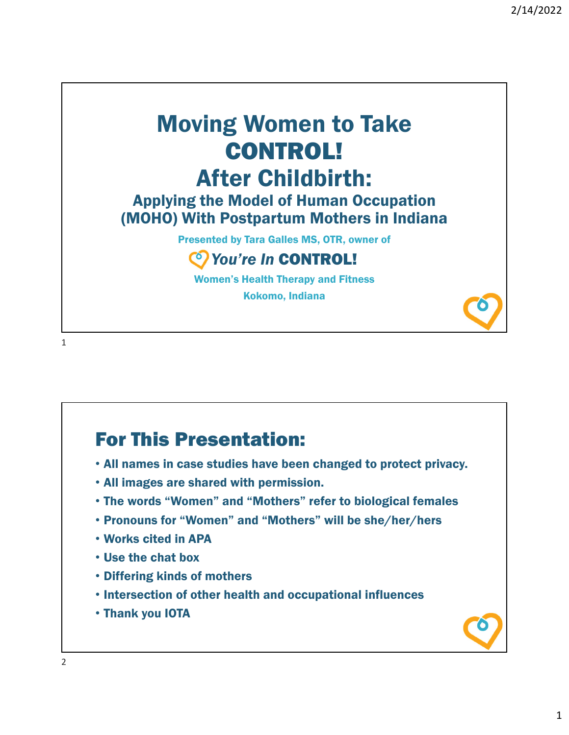## Moving Women to Take CONTROL! After Childbirth:

## Applying the Model of Human Occupation (MOHO) With Postpartum Mothers in Indiana

Presented by Tara Galles MS, OTR, owner of

## *You're In* CONTROL!

Women's Health Therapy and Fitness

Kokomo, Indiana

1

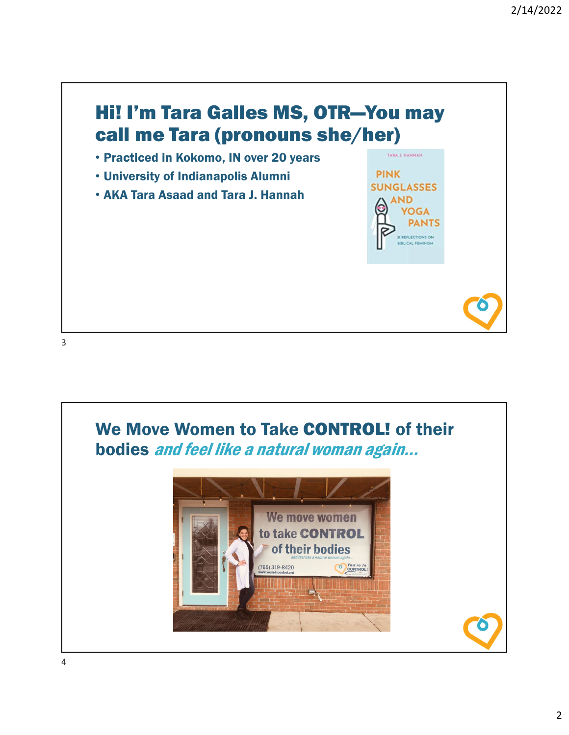

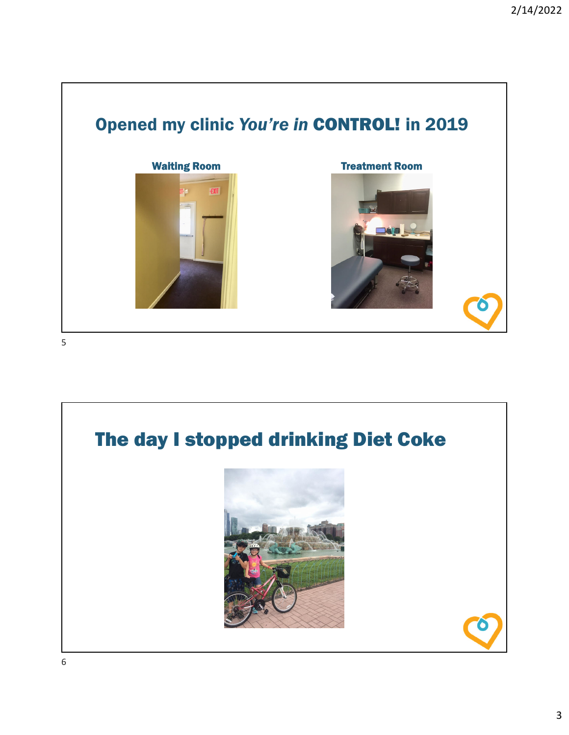

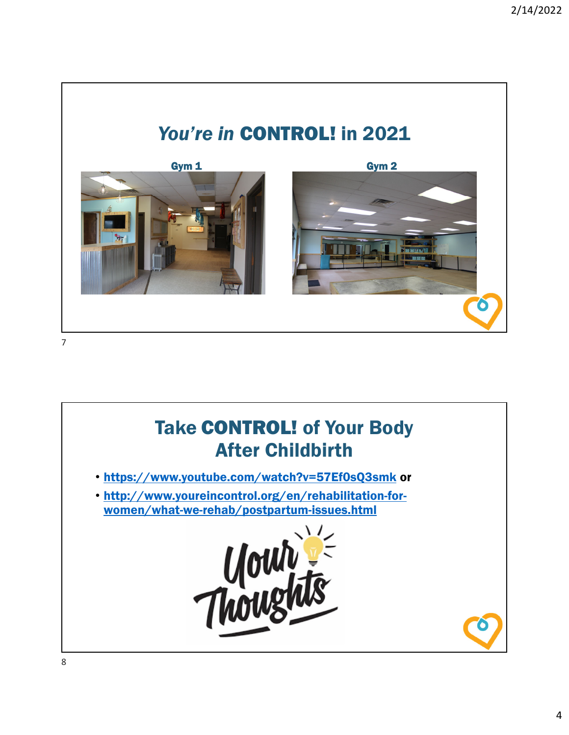